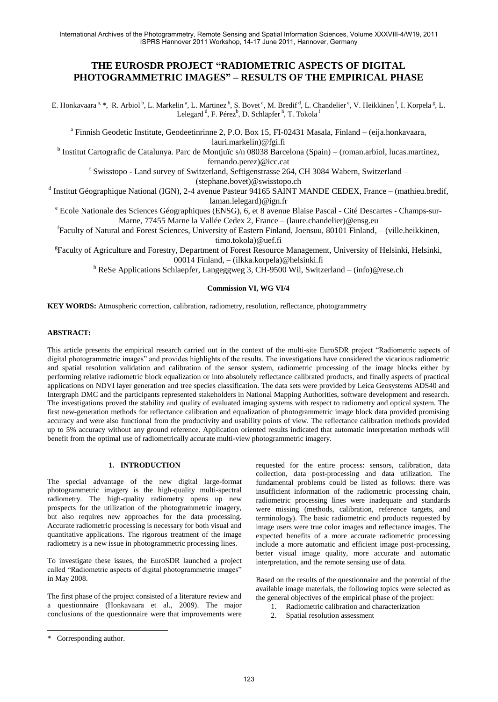International Archives of the Photogrammetry, Remote Sensing and Spatial Information Sciences, Volume XXXVIII-4/W19, 2011 ISPRS Hannover 2011 Workshop, 14-17 June 2011, Hannover, Germany

# **THE EUROSDR PROJECT "RADIOMETRIC ASPECTS OF DIGITAL PHOTOGRAMMETRIC IMAGES" – RESULTS OF THE EMPIRICAL PHASE**

E. Honkavaara<sup>a, \*</sup>, R. Arbiol<sup>b</sup>, L. Markelin<sup>a</sup>, L. Martinez<sup>b</sup>, S. Bovet<sup>c</sup>, M. Bredif<sup>d</sup>, L. Chandelier<sup>e</sup>, V. Heikkinen<sup>f</sup>, I. Korpela<sup>g</sup>, L. Lelegard <sup>d</sup>, F. Pérez<sup>b</sup>, D. Schläpfer <sup>h</sup>, T. Tokola <sup>1</sup>

<sup>a</sup> Finnish Geodetic Institute, Geodeetinrinne 2, P.O. Box 15, FI-02431 Masala, Finland - (eija.honkavaara, lauri.markelin)@fgi.fi

<sup>b</sup> Institut Cartografic de Catalunya. Parc de Montjuïc s/n 08038 Barcelona (Spain) – (roman.arbiol, lucas.martinez, fernando.perez)@icc.cat

c Swisstopo - Land survey of Switzerland, Seftigenstrasse 264, CH 3084 Wabern, Switzerland –

(stephane.bovet)@swisstopo.ch

<sup>d</sup> Institut Géographique National (IGN), 2-4 avenue Pasteur 94165 SAINT MANDE CEDEX, France – (mathieu.bredif,

laman.lelegard[\)@ign.fr](mailto:first.lastname@ensg.eu)

<sup>e</sup> Ecole Nationale des Sciences Géographiques (ENSG), 6, et 8 avenue Blaise Pascal - Cité Descartes - Champs-sur-Marne, 77455 Marne la Vallée Cedex 2, France – (laure.chandelier[\)@ensg.eu](mailto:first.lastname@ensg.eu)

f Faculty of Natural and Forest Sciences, University of Eastern Finland, Joensuu, 80101 Finland, – (ville.heikkinen, timo.tokola)@uef.fi

<sup>g</sup>Faculty of Agriculture and Forestry, Department of Forest Resource Management, University of Helsinki, Helsinki, 00014 Finland, – (ilkka.korpela)@helsinki.fi

<sup>h</sup> ReSe Applications Schlaepfer, Langeggweg 3, CH-9500 Wil, Switzerland – [\(info\)@rese.ch](mailto:info@rese.ch)

#### **Commission VI, WG VI/4**

**KEY WORDS:** Atmospheric correction, calibration, radiometry, resolution, reflectance, photogrammetry

### **ABSTRACT:**

This article presents the empirical research carried out in the context of the multi-site EuroSDR project "Radiometric aspects of digital photogrammetric images" and provides highlights of the results. The investigations have considered the vicarious radiometric and spatial resolution validation and calibration of the sensor system, radiometric processing of the image blocks either by performing relative radiometric block equalization or into absolutely reflectance calibrated products, and finally aspects of practical applications on NDVI layer generation and tree species classification. The data sets were provided by Leica Geosystems ADS40 and Intergraph DMC and the participants represented stakeholders in National Mapping Authorities, software development and research. The investigations proved the stability and quality of evaluated imaging systems with respect to radiometry and optical system. The first new-generation methods for reflectance calibration and equalization of photogrammetric image block data provided promising accuracy and were also functional from the productivity and usability points of view. The reflectance calibration methods provided up to 5% accuracy without any ground reference. Application oriented results indicated that automatic interpretation methods will benefit from the optimal use of radiometrically accurate multi-view photogrammetric imagery.

### **1. INTRODUCTION**

The special advantage of the new digital large-format photogrammetric imagery is the high-quality multi-spectral radiometry. The high-quality radiometry opens up new prospects for the utilization of the photogrammetric imagery, but also requires new approaches for the data processing. Accurate radiometric processing is necessary for both visual and quantitative applications. The rigorous treatment of the image radiometry is a new issue in photogrammetric processing lines.

To investigate these issues, the EuroSDR launched a project called "Radiometric aspects of digital photogrammetric images" in May 2008.

The first phase of the project consisted of a literature review and a questionnaire (Honkavaara et al., 2009). The major conclusions of the questionnaire were that improvements were

requested for the entire process: sensors, calibration, data collection, data post-processing and data utilization. The fundamental problems could be listed as follows: there was insufficient information of the radiometric processing chain, radiometric processing lines were inadequate and standards were missing (methods, calibration, reference targets, and terminology). The basic radiometric end products requested by image users were true color images and reflectance images. The expected benefits of a more accurate radiometric processing include a more automatic and efficient image post-processing, better visual image quality, more accurate and automatic interpretation, and the remote sensing use of data.

Based on the results of the questionnaire and the potential of the available image materials, the following topics were selected as the general objectives of the empirical phase of the project:

- 1. Radiometric calibration and characterization
- Spatial resolution assessment

 $\overline{a}$ 

<sup>\*</sup> Corresponding author.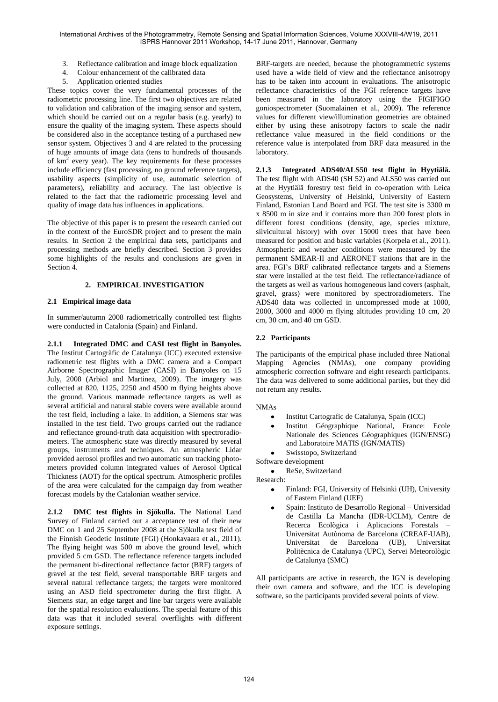International Archives of the Photogrammetry, Remote Sensing and Spatial Information Sciences, Volume XXXVIII-4/W19, 2011 ISPRS Hannover 2011 Workshop, 14-17 June 2011, Hannover, Germany

- 3. Reflectance calibration and image block equalization<br>4 Colour enhancement of the calibrated data
- 4. Colour enhancement of the calibrated data
- 5. Application oriented studies

These topics cover the very fundamental processes of the radiometric processing line. The first two objectives are related to validation and calibration of the imaging sensor and system, which should be carried out on a regular basis (e.g. yearly) to ensure the quality of the imaging system. These aspects should be considered also in the acceptance testing of a purchased new sensor system. Objectives 3 and 4 are related to the processing of huge amounts of image data (tens to hundreds of thousands of km<sup>2</sup> every year). The key requirements for these processes include efficiency (fast processing, no ground reference targets), usability aspects (simplicity of use, automatic selection of parameters), reliability and accuracy. The last objective is related to the fact that the radiometric processing level and quality of image data has influences in applications.

The objective of this paper is to present the research carried out in the context of the EuroSDR project and to present the main results. In Section 2 the empirical data sets, participants and processing methods are briefly described. Section 3 provides some highlights of the results and conclusions are given in Section 4.

### **2. EMPIRICAL INVESTIGATION**

#### **2.1 Empirical image data**

In summer/autumn 2008 radiometrically controlled test flights were conducted in Catalonia (Spain) and Finland.

**2.1.1 Integrated DMC and CASI test flight in Banyoles.** The Institut Cartogràfic de Catalunya (ICC) executed extensive radiometric test flights with a DMC camera and a Compact Airborne Spectrographic Imager (CASI) in Banyoles on 15 July, 2008 (Arbiol and Martinez, 2009). The imagery was collected at 820, 1125, 2250 and 4500 m flying heights above the ground. Various manmade reflectance targets as well as several artificial and natural stable covers were available around the test field, including a lake. In addition, a Siemens star was installed in the test field. Two groups carried out the radiance and reflectance ground-truth data acquisition with spectroradiometers. The atmospheric state was directly measured by several groups, instruments and techniques. An atmospheric Lidar provided aerosol profiles and two automatic sun tracking photometers provided column integrated values of Aerosol Optical Thickness (AOT) for the optical spectrum. Atmospheric profiles of the area were calculated for the campaign day from weather forecast models by the Catalonian weather service.

**2.1.2 DMC test flights in Sjökulla.** The National Land Survey of Finland carried out a acceptance test of their new DMC on 1 and 25 September 2008 at the Sjökulla test field of the Finnish Geodetic Institute (FGI) (Honkavaara et al., 2011). The flying height was 500 m above the ground level, which provided 5 cm GSD. The reflectance reference targets included the permanent bi-directional reflectance factor (BRF) targets of gravel at the test field, several transportable BRF targets and several natural reflectance targets; the targets were monitored using an ASD field spectrometer during the first flight. A Siemens star, an edge target and line bar targets were available for the spatial resolution evaluations. The special feature of this data was that it included several overflights with different exposure settings.

BRF-targets are needed, because the photogrammetric systems used have a wide field of view and the reflectance anisotropy has to be taken into account in evaluations. The anisotropic reflectance characteristics of the FGI reference targets have been measured in the laboratory using the FIGIFIGO goniospectrometer (Suomalainen et al., 2009). The reference values for different view/illumination geometries are obtained either by using these anisotropy factors to scale the nadir reflectance value measured in the field conditions or the reference value is interpolated from BRF data measured in the laboratory.

**2.1.3 Integrated ADS40/ALS50 test flight in Hyytiälä.**  The test flight with ADS40 (SH 52) and ALS50 was carried out at the Hyytiälä forestry test field in co-operation with Leica Geosystems, University of Helsinki, University of Eastern Finland, Estonian Land Board and FGI. The test site is 3300 m x 8500 m in size and it contains more than 200 forest plots in different forest conditions (density, age, species mixture, silvicultural history) with over 15000 trees that have been measured for position and basic variables (Korpela et al., 2011). Atmospheric and weather conditions were measured by the permanent SMEAR-II and AERONET stations that are in the area. FGI's BRF calibrated reflectance targets and a Siemens star were installed at the test field. The reflectance/radiance of the targets as well as various homogeneous land covers (asphalt, gravel, grass) were monitored by spectroradiometers. The ADS40 data was collected in uncompressed mode at 1000, 2000, 3000 and 4000 m flying altitudes providing 10 cm, 20 cm, 30 cm, and 40 cm GSD.

### **2.2 Participants**

The participants of the empirical phase included three National Mapping Agencies (NMAs), one company providing atmospheric correction software and eight research participants. The data was delivered to some additional parties, but they did not return any results.

#### NMAs

- Institut Cartografic de Catalunya, Spain (ICC)
- Institut Géographique National, France: Ecole Nationale des Sciences Géographiques (IGN/ENSG) and Laboratoire MATIS (IGN/MATIS)
- Swisstopo, Switzerland

Software development

ReSe, Switzerland  $\bullet$ 

Research:

- Finland: FGI, University of Helsinki (UH), University of Eastern Finland (UEF)
- Spain: Instituto de Desarrollo Regional Universidad de Castilla La Mancha (IDR-UCLM), Centre de Recerca Ecològica i Aplicacions Forestals – Universitat Autònoma de Barcelona (CREAF-UAB), Universitat de Barcelona (UB), Universitat Politècnica de Catalunya (UPC), Servei Meteorològic de Catalunya (SMC)

All participants are active in research, the IGN is developing their own camera and software, and the ICC is developing software, so the participants provided several points of view.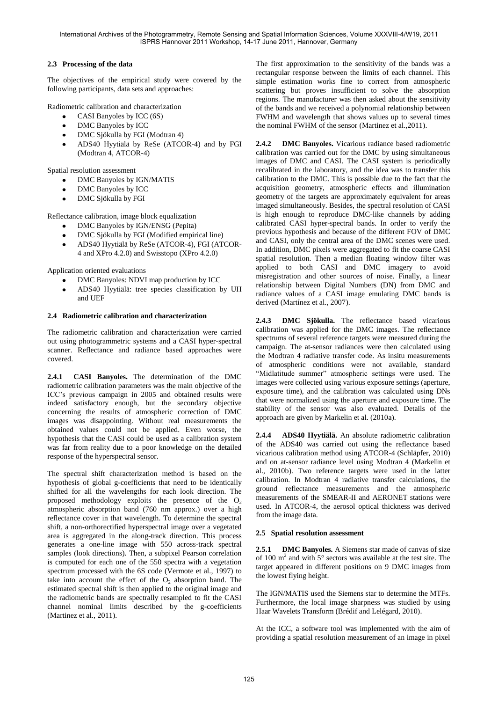# **2.3 Processing of the data**

The objectives of the empirical study were covered by the following participants, data sets and approaches:

Radiometric calibration and characterization

- CASI Banyoles by ICC (6S)
- DMC Banyoles by ICC
- DMC Sjökulla by FGI (Modtran 4)  $\bullet$
- ADS40 Hyytiälä by ReSe (ATCOR-4) and by FGI  $\bullet$ (Modtran 4, ATCOR-4)

Spatial resolution assessment

- DMC Banyoles by IGN/MATIS
- DMC Banyoles by ICC
- DMC Sjökulla by FGI

Reflectance calibration, image block equalization

- DMC Banyoles by IGN/ENSG (Pepita)  $\bullet$
- DMC Sjökulla by FGI (Modified empirical line)
- ADS40 Hyytiälä by ReSe (ATCOR-4), FGI (ATCOR- $\bullet$
- 4 and XPro 4.2.0) and Swisstopo (XPro 4.2.0)

Application oriented evaluations

- DMC Banyoles: NDVI map production by ICC
- ADS40 Hyytiälä: tree species classification by UH  $\bullet$ and UEF

### **2.4 Radiometric calibration and characterization**

The radiometric calibration and characterization were carried out using photogrammetric systems and a CASI hyper-spectral scanner. Reflectance and radiance based approaches were covered.

**2.4.1 CASI Banyoles.** The determination of the DMC radiometric calibration parameters was the main objective of the ICC's previous campaign in 2005 and obtained results were indeed satisfactory enough, but the secondary objective concerning the results of atmospheric correction of DMC images was disappointing. Without real measurements the obtained values could not be applied. Even worse, the hypothesis that the CASI could be used as a calibration system was far from reality due to a poor knowledge on the detailed response of the hyperspectral sensor.

The spectral shift characterization method is based on the hypothesis of global g-coefficients that need to be identically shifted for all the wavelengths for each look direction. The proposed methodology exploits the presence of the  $O<sub>2</sub>$ atmospheric absorption band (760 nm approx.) over a high reflectance cover in that wavelength. To determine the spectral shift, a non-orthorectified hyperspectral image over a vegetated area is aggregated in the along-track direction. This process generates a one-line image with 550 across-track spectral samples (look directions). Then, a subpixel Pearson correlation is computed for each one of the 550 spectra with a vegetation spectrum processed with the 6S code (Vermote et al., 1997) to take into account the effect of the  $O<sub>2</sub>$  absorption band. The estimated spectral shift is then applied to the original image and the radiometric bands are spectrally resampled to fit the CASI channel nominal limits described by the g-coefficients (Martinez et al., 2011).

The first approximation to the sensitivity of the bands was a rectangular response between the limits of each channel. This simple estimation works fine to correct from atmospheric scattering but proves insufficient to solve the absorption regions. The manufacturer was then asked about the sensitivity of the bands and we received a polynomial relationship between FWHM and wavelength that shows values up to several times the nominal FWHM of the sensor (Martinez et al.,2011).

**2.4.2 DMC Banyoles.** Vicarious radiance based radiometric calibration was carried out for the DMC by using simultaneous images of DMC and CASI. The CASI system is periodically recalibrated in the laboratory, and the idea was to transfer this calibration to the DMC. This is possible due to the fact that the acquisition geometry, atmospheric effects and illumination geometry of the targets are approximately equivalent for areas imaged simultaneously. Besides, the spectral resolution of CASI is high enough to reproduce DMC-like channels by adding calibrated CASI hyper-spectral bands. In order to verify the previous hypothesis and because of the different FOV of DMC and CASI, only the central area of the DMC scenes were used. In addition, DMC pixels were aggregated to fit the coarse CASI spatial resolution. Then a median floating window filter was applied to both CASI and DMC imagery to avoid misregistration and other sources of noise. Finally, a linear relationship between Digital Numbers (DN) from DMC and radiance values of a CASI image emulating DMC bands is derived (Martínez et al., 2007).

**2.4.3 DMC Sjökulla.** The reflectance based vicarious calibration was applied for the DMC images. The reflectance spectrums of several reference targets were measured during the campaign. The at-sensor radiances were then calculated using the Modtran 4 radiative transfer code. As insitu measurements of atmospheric conditions were not available, standard "Midlatitude summer" atmospheric settings were used. The images were collected using various exposure settings (aperture, exposure time), and the calibration was calculated using DNs that were normalized using the aperture and exposure time. The stability of the sensor was also evaluated. Details of the approach are given by Markelin et al. (2010a).

**2.4.4 ADS40 Hyytiälä.** An absolute radiometric calibration of the ADS40 was carried out using the reflectance based vicarious calibration method using ATCOR-4 (Schläpfer, 2010) and on at-sensor radiance level using Modtran 4 (Markelin et al., 2010b). Two reference targets were used in the latter calibration. In Modtran 4 radiative transfer calculations, the ground reflectance measurements and the atmospheric measurements of the SMEAR-II and AERONET stations were used. In ATCOR-4, the aerosol optical thickness was derived from the image data.

### **2.5 Spatial resolution assessment**

**2.5.1 DMC Banyoles.** A Siemens star made of canvas of size of 100  $m<sup>2</sup>$  and with 5° sectors was available at the test site. The target appeared in different positions on 9 DMC images from the lowest flying height.

The IGN/MATIS used the Siemens star to determine the MTFs. Furthermore, the local image sharpness was studied by using Haar Wavelets Transform (Brédif and Lelégard, 2010).

At the ICC, a software tool was implemented with the aim of providing a spatial resolution measurement of an image in pixel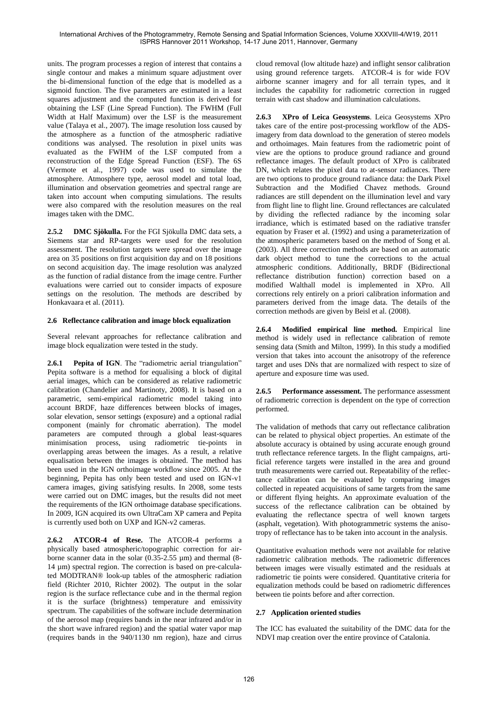units. The program processes a region of interest that contains a single contour and makes a minimum square adjustment over the bi-dimensional function of the edge that is modelled as a sigmoid function. The five parameters are estimated in a least squares adjustment and the computed function is derived for obtaining the LSF (Line Spread Function). The FWHM (Full Width at Half Maximum) over the LSF is the measurement value (Talaya et al., 2007). The image resolution loss caused by the atmosphere as a function of the atmospheric radiative conditions was analysed. The resolution in pixel units was evaluated as the FWHM of the LSF computed from a reconstruction of the Edge Spread Function (ESF). The 6S (Vermote et al., 1997) code was used to simulate the atmosphere. Atmosphere type, aerosol model and total load, illumination and observation geometries and spectral range are taken into account when computing simulations. The results were also compared with the resolution measures on the real images taken with the DMC.

**2.5.2 DMC Sjökulla.** For the FGI Sjökulla DMC data sets, a Siemens star and RP-targets were used for the resolution assessment. The resolution targets were spread over the image area on 35 positions on first acquisition day and on 18 positions on second acquisition day. The image resolution was analyzed as the function of radial distance from the image centre. Further evaluations were carried out to consider impacts of exposure settings on the resolution. The methods are described by Honkavaara et al. (2011).

## **2.6 Reflectance calibration and image block equalization**

Several relevant approaches for reflectance calibration and image block equalization were tested in the study.

**2.6.1 Pepita of IGN**. The "radiometric aerial triangulation" Pepita software is a method for equalising a block of digital aerial images, which can be considered as relative radiometric calibration (Chandelier and Martinoty, 2008). It is based on a parametric, semi-empirical radiometric model taking into account BRDF, haze differences between blocks of images, solar elevation, sensor settings (exposure) and a optional radial component (mainly for chromatic aberration). The model parameters are computed through a global least-squares minimisation process, using radiometric tie-points in overlapping areas between the images. As a result, a relative equalisation between the images is obtained. The method has been used in the IGN orthoimage workflow since 2005. At the beginning, Pepita has only been tested and used on IGN-v1 camera images, giving satisfying results. In 2008, some tests were carried out on DMC images, but the results did not meet the requirements of the IGN orthoimage database specifications. In 2009, IGN acquired its own UltraCam XP camera and Pepita is currently used both on UXP and IGN-v2 cameras.

**2.6.2 ATCOR-4 of Rese.** The ATCOR-4 performs a physically based atmospheric/topographic correction for airborne scanner data in the solar  $(0.35{\text -}2.55 \text{ }\mu\text{m})$  and thermal  $(8{\text -}1)$ 14 µm) spectral region. The correction is based on pre-calculated MODTRAN® look-up tables of the atmospheric radiation field (Richter 2010, Richter 2002). The output in the solar region is the surface reflectance cube and in the thermal region it is the surface (brightness) temperature and emissivity spectrum. The capabilities of the software include determination of the aerosol map (requires bands in the near infrared and/or in the short wave infrared region) and the spatial water vapor map (requires bands in the 940/1130 nm region), haze and cirrus

cloud removal (low altitude haze) and inflight sensor calibration using ground reference targets. ATCOR-4 is for wide FOV airborne scanner imagery and for all terrain types, and it includes the capability for radiometric correction in rugged terrain with cast shadow and illumination calculations.

**2.6.3 XPro of Leica Geosystems**. Leica Geosystems XPro takes care of the entire post-processing workflow of the ADSimagery from data download to the generation of stereo models and orthoimages. Main features from the radiometric point of view are the options to produce ground radiance and ground reflectance images. The default product of XPro is calibrated DN, which relates the pixel data to at-sensor radiances. There are two options to produce ground radiance data: the Dark Pixel Subtraction and the Modified Chavez methods. Ground radiances are still dependent on the illumination level and vary from flight line to flight line. Ground reflectances are calculated by dividing the reflected radiance by the incoming solar irradiance, which is estimated based on the radiative transfer equation by Fraser et al. (1992) and using a parameterization of the atmospheric parameters based on the method of Song et al. (2003). All three correction methods are based on an automatic dark object method to tune the corrections to the actual atmospheric conditions. Additionally, BRDF (Bidirectional reflectance distribution function) correction based on a modified Walthall model is implemented in XPro. All corrections rely entirely on a priori calibration information and parameters derived from the image data. The details of the correction methods are given by Beisl et al. (2008).

**2.6.4 Modified empirical line method.** Empirical line method is widely used in reflectance calibration of remote sensing data (Smith and Milton, 1999). In this study a modified version that takes into account the anisotropy of the reference target and uses DNs that are normalized with respect to size of aperture and exposure time was used.

**2.6.5 Performance assessment.** The performance assessment of radiometric correction is dependent on the type of correction performed.

The validation of methods that carry out reflectance calibration can be related to physical object properties. An estimate of the absolute accuracy is obtained by using accurate enough ground truth reflectance reference targets. In the flight campaigns, artificial reference targets were installed in the area and ground truth measurements were carried out. Repeatability of the reflectance calibration can be evaluated by comparing images collected in repeated acquisitions of same targets from the same or different flying heights. An approximate evaluation of the success of the reflectance calibration can be obtained by evaluating the reflectance spectra of well known targets (asphalt, vegetation). With photogrammetric systems the anisotropy of reflectance has to be taken into account in the analysis.

Quantitative evaluation methods were not available for relative radiometric calibration methods. The radiometric differences between images were visually estimated and the residuals at radiometric tie points were considered. Quantitative criteria for equalization methods could be based on radiometric differences between tie points before and after correction.

# **2.7 Application oriented studies**

The ICC has evaluated the suitability of the DMC data for the NDVI map creation over the entire province of Catalonia.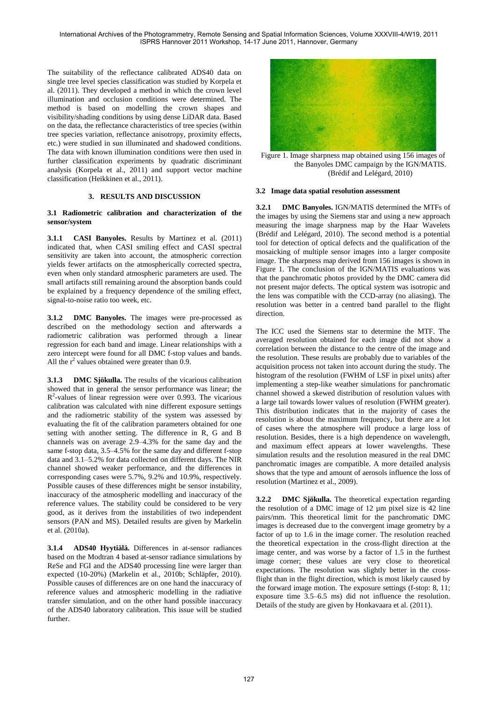The suitability of the reflectance calibrated ADS40 data on single tree level species classification was studied by Korpela et al. (2011). They developed a method in which the crown level illumination and occlusion conditions were determined. The method is based on modelling the crown shapes and visibility/shading conditions by using dense LiDAR data. Based on the data, the reflectance characteristics of tree species (within tree species variation, reflectance anisotropy, proximity effects, etc.) were studied in sun illuminated and shadowed conditions. The data with known illumination conditions were then used in further classification experiments by quadratic discriminant analysis (Korpela et al., 2011) and support vector machine classification (Heikkinen et al., 2011).

### **3. RESULTS AND DISCUSSION**

### **3.1 Radiometric calibration and characterization of the sensor/system**

**3.1.1 CASI Banyoles.** Results by Martinez et al. (2011) indicated that, when CASI smiling effect and CASI spectral sensitivity are taken into account, the atmospheric correction yields fewer artifacts on the atmospherically corrected spectra, even when only standard atmospheric parameters are used. The small artifacts still remaining around the absorption bands could be explained by a frequency dependence of the smiling effect, signal-to-noise ratio too week, etc.

**3.1.2 DMC Banyoles.** The images were pre-processed as described on the methodology section and afterwards a radiometric calibration was performed through a linear regression for each band and image. Linear relationships with a zero intercept were found for all DMC f-stop values and bands. All the  $r^2$  values obtained were greater than 0.9.

**3.1.3 DMC Sjökulla.** The results of the vicarious calibration showed that in general the sensor performance was linear; the  $R<sup>2</sup>$ -values of linear regression were over 0.993. The vicarious calibration was calculated with nine different exposure settings and the radiometric stability of the system was assessed by evaluating the fit of the calibration parameters obtained for one setting with another setting. The difference in R, G and B channels was on average 2.9–4.3% for the same day and the same f-stop data, 3.5–4.5% for the same day and different f-stop data and 3.1–5.2% for data collected on different days. The NIR channel showed weaker performance, and the differences in corresponding cases were 5.7%, 9.2% and 10.9%, respectively. Possible causes of these differences might be sensor instability, inaccuracy of the atmospheric modelling and inaccuracy of the reference values. The stability could be considered to be very good, as it derives from the instabilities of two independent sensors (PAN and MS). Detailed results are given by Markelin et al. (2010a).

**3.1.4 ADS40 Hyytiälä.** Differences in at-sensor radiances based on the Modtran 4 based at-sensor radiance simulations by ReSe and FGI and the ADS40 processing line were larger than expected (10-20%) (Markelin et al., 2010b; Schläpfer, 2010). Possible causes of differences are on one hand the inaccuracy of reference values and atmospheric modelling in the radiative transfer simulation, and on the other hand possible inaccuracy of the ADS40 laboratory calibration. This issue will be studied further.



Figure 1. Image sharpness map obtained using 156 images of the Banyoles DMC campaign by the IGN/MATIS. (Brédif and Lelégard, 2010)

### **3.2 Image data spatial resolution assessment**

**3.2.1 DMC Banyoles.** IGN/MATIS determined the MTFs of the images by using the Siemens star and using a new approach measuring the image sharpness map by the Haar Wavelets (Brédif and Lelégard, 2010). The second method is a potential tool for detection of optical defects and the qualification of the mosaicking of multiple sensor images into a larger composite image. The sharpness map derived from 156 images is shown in Figure 1. The conclusion of the IGN/MATIS evaluations was that the panchromatic photos provided by the DMC camera did not present major defects. The optical system was isotropic and the lens was compatible with the CCD-array (no aliasing). The resolution was better in a centred band parallel to the flight direction.

The ICC used the Siemens star to determine the MTF. The averaged resolution obtained for each image did not show a correlation between the distance to the centre of the image and the resolution. These results are probably due to variables of the acquisition process not taken into account during the study. The histogram of the resolution (FWHM of LSF in pixel units) after implementing a step-like weather simulations for panchromatic channel showed a skewed distribution of resolution values with a large tail towards lower values of resolution (FWHM greater). This distribution indicates that in the majority of cases the resolution is about the maximum frequency, but there are a lot of cases where the atmosphere will produce a large loss of resolution. Besides, there is a high dependence on wavelength, and maximum effect appears at lower wavelengths. These simulation results and the resolution measured in the real DMC panchromatic images are compatible. A more detailed analysis shows that the type and amount of aerosols influence the loss of resolution (Martinez et al., 2009).

**3.2.2 DMC Sjökulla.** The theoretical expectation regarding the resolution of a DMC image of 12 µm pixel size is 42 line pairs/mm. This theoretical limit for the panchromatic DMC images is decreased due to the convergent image geometry by a factor of up to 1.6 in the image corner. The resolution reached the theoretical expectation in the cross-flight direction at the image center, and was worse by a factor of 1.5 in the furthest image corner; these values are very close to theoretical expectations. The resolution was slightly better in the crossflight than in the flight direction, which is most likely caused by the forward image motion. The exposure settings (f-stop: 8, 11; exposure time 3.5–6.5 ms) did not influence the resolution. Details of the study are given by Honkavaara et al. (2011).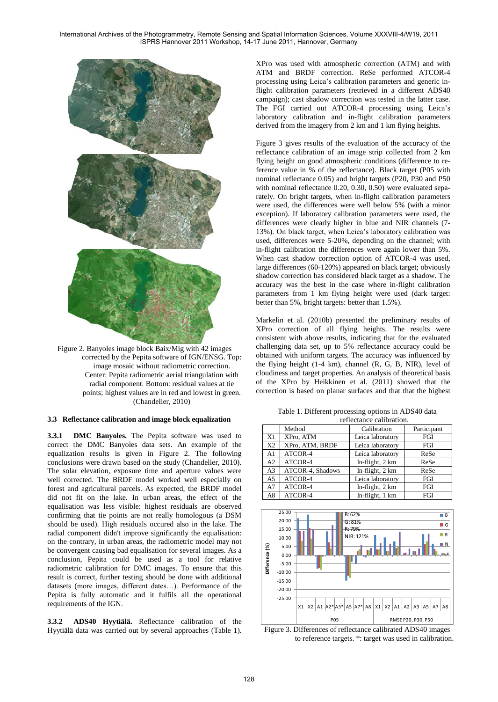International Archives of the Photogrammetry, Remote Sensing and Spatial Information Sciences, Volume XXXVIII-4/W19, 2011 ISPRS Hannover 2011 Workshop, 14-17 June 2011, Hannover, Germany



Figure 2. Banyoles image block Baix/Mig with 42 images corrected by the Pepita software of IGN/ENSG. Top: image mosaic without radiometric correction. Center: Pepita radiometric aerial triangulation with radial component. Bottom: residual values at tie points; highest values are in red and lowest in green. (Chandelier, 2010)

#### **3.3 Reflectance calibration and image block equalization**

**3.3.1 DMC Banyoles.** The Pepita software was used to correct the DMC Banyoles data sets. An example of the equalization results is given in Figure 2. The following conclusions were drawn based on the study (Chandelier, 2010). The solar elevation, exposure time and aperture values were well corrected. The BRDF model worked well especially on forest and agricultural parcels. As expected, the BRDF model did not fit on the lake. In urban areas, the effect of the equalisation was less visible: highest residuals are observed confirming that tie points are not really homologous (a DSM should be used). High residuals occured also in the lake. The radial component didn't improve significantly the equalisation: on the contrary, in urban areas, the radiometric model may not be convergent causing bad equalisation for several images. As a conclusion, Pepita could be used as a tool for relative radiometric calibration for DMC images. To ensure that this result is correct, further testing should be done with additional datasets (more images, different dates…). Performance of the Pepita is fully automatic and it fulfils all the operational requirements of the IGN.

**3.3.2 ADS40 Hyytiälä.** Reflectance calibration of the Hyytiälä data was carried out by several approaches (Table 1).

XPro was used with atmospheric correction (ATM) and with ATM and BRDF correction. ReSe performed ATCOR-4 processing using Leica's calibration parameters and generic inflight calibration parameters (retrieved in a different ADS40 campaign); cast shadow correction was tested in the latter case. The FGI carried out ATCOR-4 processing using Leica's laboratory calibration and in-flight calibration parameters derived from the imagery from 2 km and 1 km flying heights.

Figure 3 gives results of the evaluation of the accuracy of the reflectance calibration of an image strip collected from 2 km flying height on good atmospheric conditions (difference to reference value in % of the reflectance). Black target (P05 with nominal reflectance 0.05) and bright targets (P20, P30 and P50 with nominal reflectance 0.20, 0.30, 0.50) were evaluated separately. On bright targets, when in-flight calibration parameters were used, the differences were well below 5% (with a minor exception). If laboratory calibration parameters were used, the differences were clearly higher in blue and NIR channels (7- 13%). On black target, when Leica's laboratory calibration was used, differences were 5-20%, depending on the channel; with in-flight calibration the differences were again lower than 5%. When cast shadow correction option of ATCOR-4 was used, large differences (60-120%) appeared on black target; obviously shadow correction has considered black target as a shadow. The accuracy was the best in the case where in-flight calibration parameters from 1 km flying height were used (dark target: better than 5%, bright targets: better than 1.5%).

Markelin et al. (2010b) presented the preliminary results of XPro correction of all flying heights. The results were consistent with above results, indicating that for the evaluated challenging data set, up to 5% reflectance accuracy could be obtained with uniform targets. The accuracy was influenced by the flying height (1-4 km), channel (R, G, B, NIR), level of cloudiness and target properties. An analysis of theoretical basis of the XPro by Heikkinen et al. (2011) showed that the correction is based on planar surfaces and that that the highest

reflectance calibration Method Calibration Participant X1 XPro, ATM Leica laboratory FGI X2 | XPro, ATM, BRDF | Leica laboratory | FGI A1 ATCOR-4 Leica laboratory ReSe<br>A2 ATCOR-4 In-flight, 2 km ReSe A2 | ATCOR-4 In-flight, 2 km ReSe A3 ATCOR-4, Shadows In-flight, 2 km ReSe A5 ATCOR-4 Leica laboratory FGI<br>A7 ATCOR-4 In-flight, 2 km FGI A7 | ATCOR-4 In-flight, 2 km | FGI

Table 1. Different processing options in ADS40 data

A8 ATCOR-4 In-flight, 1 km FGI -25.00 -20.00 -15.00  $-10.00$ -5.00 0.00 5.00 10.00 15.00 20.00 25.00  $X1$   $X2$   $A1$   $A2^*$   $A3^*$   $A5$   $A7^*$   $A8$   $X1$   $X2$   $A1$   $A2$   $A3$   $A5$   $A7$   $A8$ **Difference (%) B D**G R N  $B.62%$ G: 81% R: 79% NIR: 121%



P05 RMSE P20, P30, P50